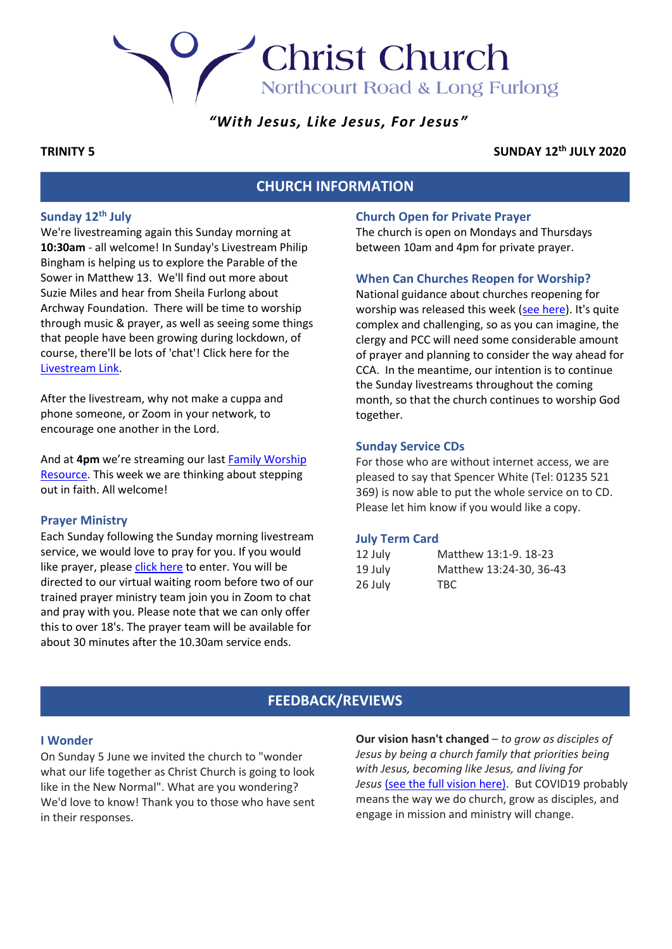## *"With Jesus, Like Jesus, For Jesus"*

**Christ Church** 

Northcourt Road & Long Furlong

## **TRINITY 5 SUNDAY 12th JULY 2020**

## **CHURCH INFORMATION**

## **Sunday 12th July**

We're livestreaming again this Sunday morning at **10:30am** - all welcome! In Sunday's Livestream Philip Bingham is helping us to explore the Parable of the Sower in Matthew 13. We'll find out more about Suzie Miles and hear from Sheila Furlong about Archway Foundation. There will be time to worship through music & prayer, as well as seeing some things that people have been growing during lockdown, of course, there'll be lots of 'chat'! Click here for the [Livestream Link.](https://youtu.be/P7rE3DhylV4)

After the livestream, why not make a cuppa and phone someone, or Zoom in your network, to encourage one another in the Lord.

And at **4pm** we're streaming our last [Family Worship](https://youtu.be/kk8eCmW3zpU)  [Resource.](https://youtu.be/kk8eCmW3zpU) This week we are thinking about stepping out in faith. All welcome!

#### **Prayer Ministry**

Each Sunday following the Sunday morning livestream service, we would love to pray for you. If you would like prayer, please [click here](https://zoom.us/j/94957771641?pwd=a3luQnN2WmZIRWpzaTNVdEE4WWVxZz09) to enter. You will be directed to our virtual waiting room before two of our trained prayer ministry team join you in Zoom to chat and pray with you. Please note that we can only offer this to over 18's. The prayer team will be available for about 30 minutes after the 10.30am service ends.

## **Church Open for Private Prayer**

The church is open on Mondays and Thursdays between 10am and 4pm for private prayer.

#### **When Can Churches Reopen for Worship?**

National guidance about churches reopening for worship was released this week [\(see here\)](https://www.churchofengland.org/sites/default/files/2020-06/COVID%2019%20advice%20on%20conducting%20public%20worship%20v1.1.pdf). It's quite complex and challenging, so as you can imagine, the clergy and PCC will need some considerable amount of prayer and planning to consider the way ahead for CCA. In the meantime, our intention is to continue the Sunday livestreams throughout the coming month, so that the church continues to worship God together.

#### **Sunday Service CDs**

For those who are without internet access, we are pleased to say that Spencer White (Tel: 01235 521 369) is now able to put the whole service on to CD. Please let him know if you would like a copy.

#### **July Term Card**

| 12 July | Matthew 13:1-9, 18-23   |
|---------|-------------------------|
| 19 July | Matthew 13:24-30, 36-43 |
| 26 July | TBC.                    |

## **FEEDBACK/REVIEWS**

#### **I Wonder**

On Sunday 5 June we invited the church to "wonder what our life together as Christ Church is going to look like in the New Normal". What are you wondering? We'd love to know! Thank you to those who have sent in their responses.

**Our vision hasn't changed** – *to grow as disciples of Jesus by being a church family that priorities being with Jesus, becoming like Jesus, and living for*  Jesus [\(see the full vision](https://cca.uk.net/docs/Vision-Summary-2019.pdf) here). But COVID19 probably means the way we do church, grow as disciples, and engage in mission and ministry will change.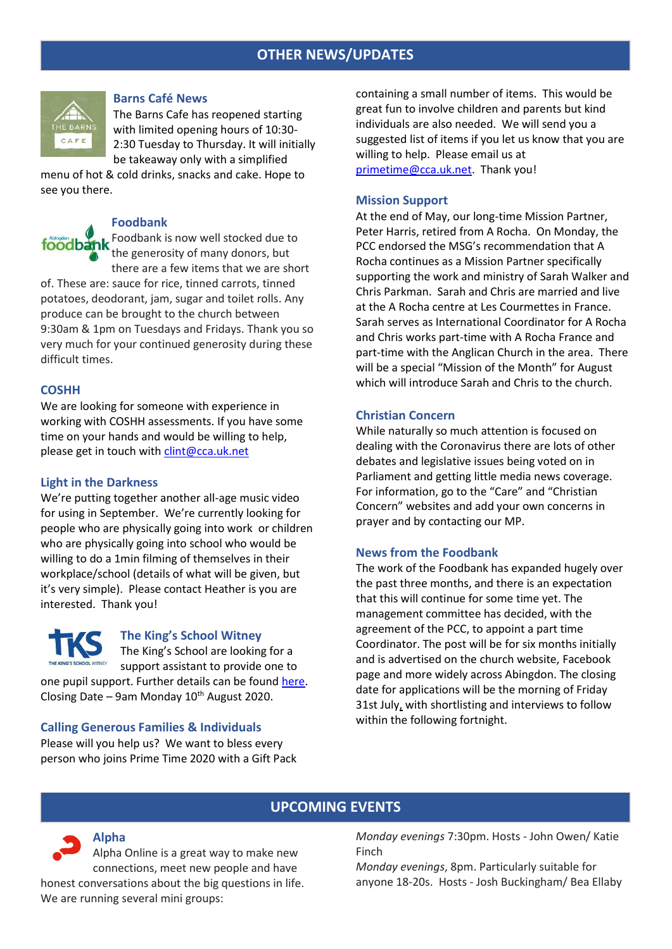## **OTHER NEWS/UPDATES**



## **Barns Café News**

The Barns Cafe has reopened starting with limited opening hours of 10:30- 2:30 Tuesday to Thursday. It will initially be takeaway only with a simplified

menu of hot & cold drinks, snacks and cake. Hope to see you there.

## **Foodbank**

Foodbank is now well stocked due to foodbank the generosity of many donors, but there are a few items that we are short

of. These are: sauce for rice, tinned carrots, tinned potatoes, deodorant, jam, sugar and toilet rolls. Any produce can be brought to the church between 9:30am & 1pm on Tuesdays and Fridays. Thank you so very much for your continued generosity during these difficult times.

## **COSHH**

We are looking for someone with experience in working with COSHH assessments. If you have some time on your hands and would be willing to help, please get in touch with [clint@cca.uk.net](mailto:clint@cca.uk.net) 

#### **Light in the Darkness**

We're putting together another all-age music video for using in September. We're currently looking for people who are physically going into work or children who are physically going into school who would be willing to do a 1min filming of themselves in their workplace/school (details of what will be given, but it's very simple). Please contact Heather is you are interested. Thank you!



### **The King's School Witney**

The King's School are looking for a THE KING'S SCHOOL WITNEY support assistant to provide one to one pupil support. Further details can be foun[d here.](https://cdn.filestackcontent.com/Nh9PN75JSbinKrziBjXh) Closing Date – 9am Monday  $10^{th}$  August 2020.

#### **Calling Generous Families & Individuals**

Please will you help us? We want to bless every person who joins Prime Time 2020 with a Gift Pack

containing a small number of items. This would be great fun to involve children and parents but kind individuals are also needed. We will send you a suggested list of items if you let us know that you are willing to help. Please email us at [primetime@cca.uk.net.](mailto:primetime@cca.uk.net) Thank you!

#### **Mission Support**

At the end of May, our long-time Mission Partner, Peter Harris, retired from A Rocha. On Monday, the PCC endorsed the MSG's recommendation that A Rocha continues as a Mission Partner specifically supporting the work and ministry of Sarah Walker and Chris Parkman. Sarah and Chris are married and live at the A Rocha centre at Les Courmettes in France. Sarah serves as International Coordinator for A Rocha and Chris works part-time with A Rocha France and part-time with the Anglican Church in the area. There will be a special "Mission of the Month" for August which will introduce Sarah and Chris to the church.

## **Christian Concern**

While naturally so much attention is focused on dealing with the Coronavirus there are lots of other debates and legislative issues being voted on in Parliament and getting little media news coverage. For information, go to the "Care" and "Christian Concern" websites and add your own concerns in prayer and by contacting our MP.

#### **News from the Foodbank**

The work of the Foodbank has expanded hugely over the past three months, and there is an expectation that this will continue for some time yet. The management committee has decided, with the agreement of the PCC, to appoint a part time Coordinator. The post will be for six months initially and is advertised on the church website, Facebook page and more widely across Abingdon. The closing date for applications will be the morning of Friday 31st July, with shortlisting and interviews to follow within the following fortnight.

## **UPCOMING EVENTS**

*Monday evenings* 7:30pm. Hosts - John Owen/ Katie Finch

*Monday evenings*, 8pm. Particularly suitable for anyone 18-20s. Hosts - Josh Buckingham/ Bea Ellaby

# Alpha Online is a great way to make new

**Alpha**

connections, meet new people and have honest conversations about the big questions in life. We are running several mini groups: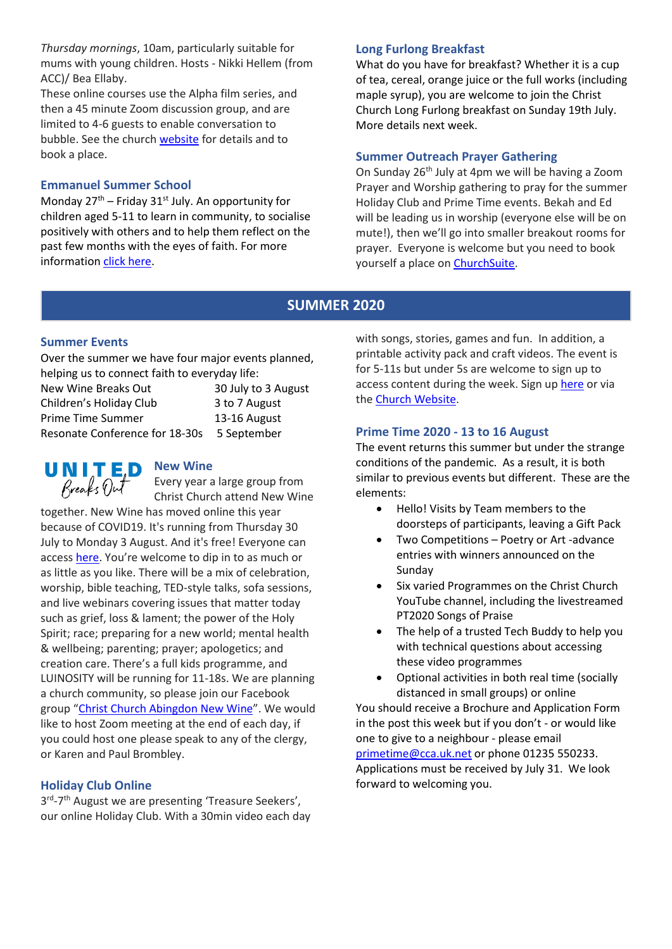*Thursday mornings*, 10am, particularly suitable for mums with young children. Hosts - Nikki Hellem (from ACC)/ Bea Ellaby.

These online courses use the Alpha film series, and then a 45 minute Zoom discussion group, and are limited to 4-6 guests to enable conversation to bubble. See the church [website](http://www.cca.uk.net/explore-faith/) for details and to book a place.

## **Emmanuel Summer School**

Monday  $27<sup>th</sup>$  – Friday  $31<sup>st</sup>$  July. An opportunity for children aged 5-11 to learn in community, to socialise positively with others and to help them reflect on the past few months with the eyes of faith. For more informatio[n click here.](https://cdn.filestackcontent.com/lwoqCSoKQwWmtNdigpyV)

## **Long Furlong Breakfast**

What do you have for breakfast? Whether it is a cup of tea, cereal, orange juice or the full works (including maple syrup), you are welcome to join the Christ Church Long Furlong breakfast on Sunday 19th July. More details next week.

## **Summer Outreach Prayer Gathering**

On Sunday 26<sup>th</sup> July at 4pm we will be having a Zoom Prayer and Worship gathering to pray for the summer Holiday Club and Prime Time events. Bekah and Ed will be leading us in worship (everyone else will be on mute!), then we'll go into smaller breakout rooms for prayer. Everyone is welcome but you need to book yourself a place on [ChurchSuite.](https://cca.churchsuite.co.uk/events/wdzu3klz)

## **SUMMER 2020**

## **Summer Events**

Over the summer we have four major events planned, helping us to connect faith to everyday life:

| New Wine Breaks Out            | 30 July to 3 August |
|--------------------------------|---------------------|
| Children's Holiday Club        | 3 to 7 August       |
| Prime Time Summer              | 13-16 August        |
| Resonate Conference for 18-30s | 5 September         |



Every year a large group from Christ Church attend New Wine

together. New Wine has moved online this year because of COVID19. It's running from Thursday 30 July to Monday 3 August. And it's free! Everyone can access [here.](https://www.new-wine.org/breaksout) You're welcome to dip in to as much or as little as you like. There will be a mix of celebration, worship, bible teaching, TED-style talks, sofa sessions, and live webinars covering issues that matter today such as grief, loss & lament; the power of the Holy Spirit; race; preparing for a new world; mental health & wellbeing; parenting; prayer; apologetics; and creation care. There's a full kids programme, and LUINOSITY will be running for 11-18s. We are planning a church community, so please join our Facebook group "[Christ Church Abingdon New Wine](https://www.facebook.com/groups/404358459715405/)". We would like to host Zoom meeting at the end of each day, if you could host one please speak to any of the clergy, or Karen and Paul Brombley.

## **Holiday Club Online**

3<sup>rd</sup>-7<sup>th</sup> August we are presenting 'Treasure Seekers', our online Holiday Club. With a 30min video each day with songs, stories, games and fun. In addition, a printable activity pack and craft videos. The event is for 5-11s but under 5s are welcome to sign up to access content during the week. Sign up [here](https://cca.churchsuite.co.uk/events/8gtagnys) or via the [Church Website.](https://cca.uk.net/kids/)

## **Prime Time 2020 - 13 to 16 August**

The event returns this summer but under the strange conditions of the pandemic. As a result, it is both similar to previous events but different. These are the elements:

- Hello! Visits by Team members to the doorsteps of participants, leaving a Gift Pack
- Two Competitions Poetry or Art -advance entries with winners announced on the Sunday
- Six varied Programmes on the Christ Church YouTube channel, including the livestreamed PT2020 Songs of Praise
- The help of a trusted Tech Buddy to help you with technical questions about accessing these video programmes
- Optional activities in both real time (socially distanced in small groups) or online

You should receive a Brochure and Application Form in the post this week but if you don't - or would like one to give to a neighbour - please email [primetime@cca.uk.net](mailto:primetime@cca.uk.net) or phone 01235 550233. Applications must be received by July 31. We look forward to welcoming you.